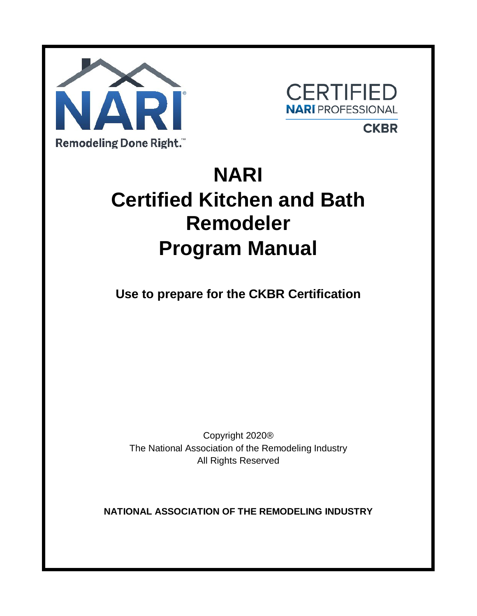



# **CKBR**

# **NARI Certified Kitchen and Bath Remodeler Program Manual**

**Use to prepare for the CKBR Certification**

Copyright 2020® The National Association of the Remodeling Industry All Rights Reserved

**NATIONAL ASSOCIATION OF THE REMODELING INDUSTRY**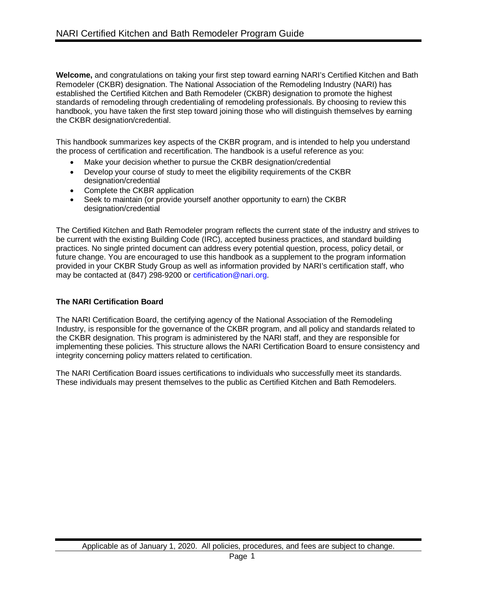**Welcome,** and congratulations on taking your first step toward earning NARI's Certified Kitchen and Bath Remodeler (CKBR) designation. The National Association of the Remodeling Industry (NARI) has established the Certified Kitchen and Bath Remodeler (CKBR) designation to promote the highest standards of remodeling through credentialing of remodeling professionals. By choosing to review this handbook, you have taken the first step toward joining those who will distinguish themselves by earning the CKBR designation/credential.

This handbook summarizes key aspects of the CKBR program, and is intended to help you understand the process of certification and recertification. The handbook is a useful reference as you:

- Make your decision whether to pursue the CKBR designation/credential
- Develop your course of study to meet the eligibility requirements of the CKBR designation/credential
- Complete the CKBR application
- Seek to maintain (or provide yourself another opportunity to earn) the CKBR designation/credential

The Certified Kitchen and Bath Remodeler program reflects the current state of the industry and strives to be current with the existing Building Code (IRC), accepted business practices, and standard building practices. No single printed document can address every potential question, process, policy detail, or future change. You are encouraged to use this handbook as a supplement to the program information provided in your CKBR Study Group as well as information provided by NARI's certification staff, who may be contacted at (847) 298-9200 or certification@nari.org.

# **The NARI Certification Board**

The NARI Certification Board, the certifying agency of the National Association of the Remodeling Industry, is responsible for the governance of the CKBR program, and all policy and standards related to the CKBR designation. This program is administered by the NARI staff, and they are responsible for implementing these policies. This structure allows the NARI Certification Board to ensure consistency and integrity concerning policy matters related to certification.

The NARI Certification Board issues certifications to individuals who successfully meet its standards. These individuals may present themselves to the public as Certified Kitchen and Bath Remodelers.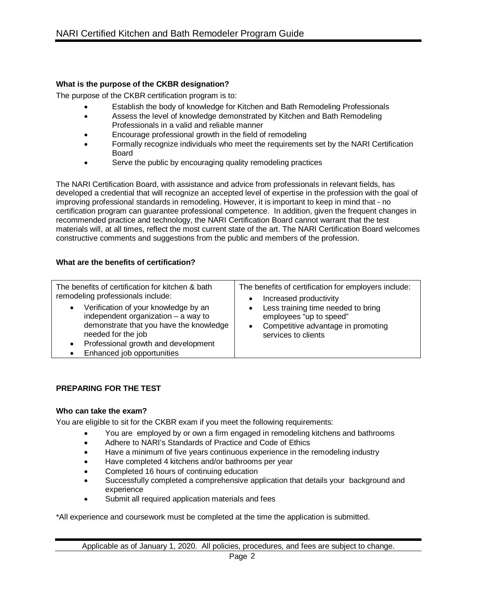# **What is the purpose of the CKBR designation?**

The purpose of the CKBR certification program is to:

- Establish the body of knowledge for Kitchen and Bath Remodeling Professionals
- Assess the level of knowledge demonstrated by Kitchen and Bath Remodeling Professionals in a valid and reliable manner
- Encourage professional growth in the field of remodeling
- Formally recognize individuals who meet the requirements set by the NARI Certification Board
- Serve the public by encouraging quality remodeling practices

The NARI Certification Board, with assistance and advice from professionals in relevant fields, has developed a credential that will recognize an accepted level of expertise in the profession with the goal of improving professional standards in remodeling. However, it is important to keep in mind that - no certification program can guarantee professional competence. In addition, given the frequent changes in recommended practice and technology, the NARI Certification Board cannot warrant that the test materials will, at all times, reflect the most current state of the art. The NARI Certification Board welcomes constructive comments and suggestions from the public and members of the profession.

# **What are the benefits of certification?**

| The benefits of certification for kitchen & bath                                                                                                                                                                                              | The benefits of certification for employers include:                                                                       |
|-----------------------------------------------------------------------------------------------------------------------------------------------------------------------------------------------------------------------------------------------|----------------------------------------------------------------------------------------------------------------------------|
| remodeling professionals include:                                                                                                                                                                                                             | Increased productivity                                                                                                     |
| Verification of your knowledge by an<br>$\bullet$<br>independent organization $-$ a way to<br>demonstrate that you have the knowledge<br>needed for the job<br>Professional growth and development<br>$\bullet$<br>Enhanced job opportunities | Less training time needed to bring<br>employees "up to speed"<br>Competitive advantage in promoting<br>services to clients |

# **PREPARING FOR THE TEST**

# **Who can take the exam?**

You are eligible to sit for the CKBR exam if you meet the following requirements:

- You are employed by or own a firm engaged in remodeling kitchens and bathrooms
- Adhere to NARI's Standards of Practice and Code of Ethics
- Have a minimum of five years continuous experience in the remodeling industry
- Have completed 4 kitchens and/or bathrooms per year
- Completed 16 hours of continuing education
- Successfully completed a comprehensive application that details your background and experience
- Submit all required application materials and fees

\*All experience and coursework must be completed at the time the application is submitted.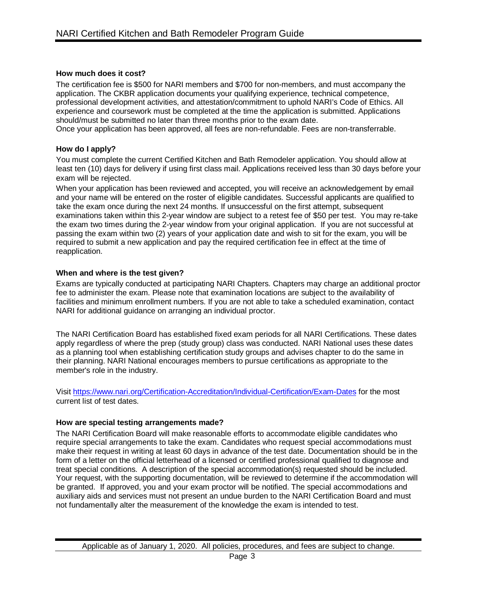# **How much does it cost?**

The certification fee is \$500 for NARI members and \$700 for non-members, and must accompany the application. The CKBR application documents your qualifying experience, technical competence, professional development activities, and attestation/commitment to uphold NARI's Code of Ethics. All experience and coursework must be completed at the time the application is submitted. Applications should/must be submitted no later than three months prior to the exam date.

Once your application has been approved, all fees are non-refundable. Fees are non-transferrable.

# **How do I apply?**

You must complete the current Certified Kitchen and Bath Remodeler application. You should allow at least ten (10) days for delivery if using first class mail. Applications received less than 30 days before your exam will be rejected.

When your application has been reviewed and accepted, you will receive an acknowledgement by email and your name will be entered on the roster of eligible candidates. Successful applicants are qualified to take the exam once during the next 24 months. If unsuccessful on the first attempt, subsequent examinations taken within this 2-year window are subject to a retest fee of \$50 per test. You may re-take the exam two times during the 2-year window from your original application. If you are not successful at passing the exam within two (2) years of your application date and wish to sit for the exam, you will be required to submit a new application and pay the required certification fee in effect at the time of reapplication.

# **When and where is the test given?**

Exams are typically conducted at participating NARI Chapters. Chapters may charge an additional proctor fee to administer the exam. Please note that examination locations are subject to the availability of facilities and minimum enrollment numbers. If you are not able to take a scheduled examination, contact NARI for additional guidance on arranging an individual proctor.

The NARI Certification Board has established fixed exam periods for all NARI Certifications. These dates apply regardless of where the prep (study group) class was conducted. NARI National uses these dates as a planning tool when establishing certification study groups and advises chapter to do the same in their planning. NARI National encourages members to pursue certifications as appropriate to the member's role in the industry.

Visi[t https://www.nari.org/Certification-Accreditation/Individual-Certification/Exam-Dates](https://www.nari.org/Certification-Accreditation/Individual-Certification/Exam-Dates) for the most current list of test dates.

# **How are special testing arrangements made?**

The NARI Certification Board will make reasonable efforts to accommodate eligible candidates who require special arrangements to take the exam. Candidates who request special accommodations must make their request in writing at least 60 days in advance of the test date. Documentation should be in the form of a letter on the official letterhead of a licensed or certified professional qualified to diagnose and treat special conditions. A description of the special accommodation(s) requested should be included. Your request, with the supporting documentation, will be reviewed to determine if the accommodation will be granted. If approved, you and your exam proctor will be notified. The special accommodations and auxiliary aids and services must not present an undue burden to the NARI Certification Board and must not fundamentally alter the measurement of the knowledge the exam is intended to test.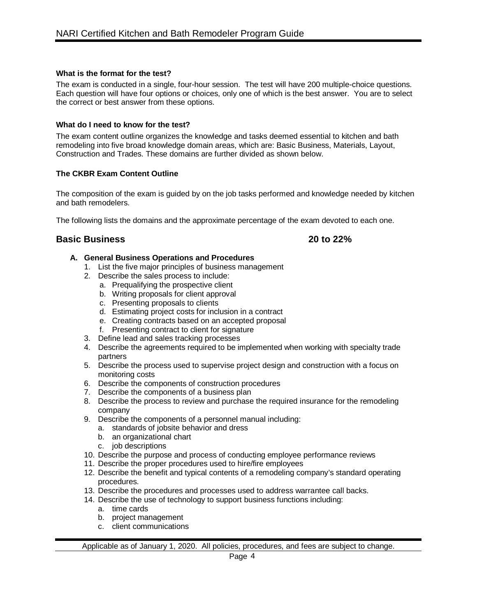# **What is the format for the test?**

The exam is conducted in a single, four-hour session. The test will have 200 multiple-choice questions. Each question will have four options or choices, only one of which is the best answer. You are to select the correct or best answer from these options.

# **What do I need to know for the test?**

The exam content outline organizes the knowledge and tasks deemed essential to kitchen and bath remodeling into five broad knowledge domain areas, which are: Basic Business, Materials, Layout, Construction and Trades. These domains are further divided as shown below.

# **The CKBR Exam Content Outline**

The composition of the exam is guided by on the job tasks performed and knowledge needed by kitchen and bath remodelers.

The following lists the domains and the approximate percentage of the exam devoted to each one.

# **Basic Business 20 to 22%**

# **A. General Business Operations and Procedures**

- 1. List the five major principles of business management
- 2. Describe the sales process to include:
	- a. Prequalifying the prospective client
	- b. Writing proposals for client approval
	- c. Presenting proposals to clients
	- d. Estimating project costs for inclusion in a contract
	- e. Creating contracts based on an accepted proposal
	- f. Presenting contract to client for signature
- 3. Define lead and sales tracking processes
- 4. Describe the agreements required to be implemented when working with specialty trade partners
- 5. Describe the process used to supervise project design and construction with a focus on monitoring costs
- 6. Describe the components of construction procedures
- 7. Describe the components of a business plan
- 8. Describe the process to review and purchase the required insurance for the remodeling company
- 9. Describe the components of a personnel manual including:
	- a. standards of jobsite behavior and dress
	- b. an organizational chart
	- c. job descriptions
- 10. Describe the purpose and process of conducting employee performance reviews
- 11. Describe the proper procedures used to hire/fire employees
- 12. Describe the benefit and typical contents of a remodeling company's standard operating procedures.
- 13. Describe the procedures and processes used to address warrantee call backs.
- 14. Describe the use of technology to support business functions including:
	- a. time cards
	- b. project management
	- c. client communications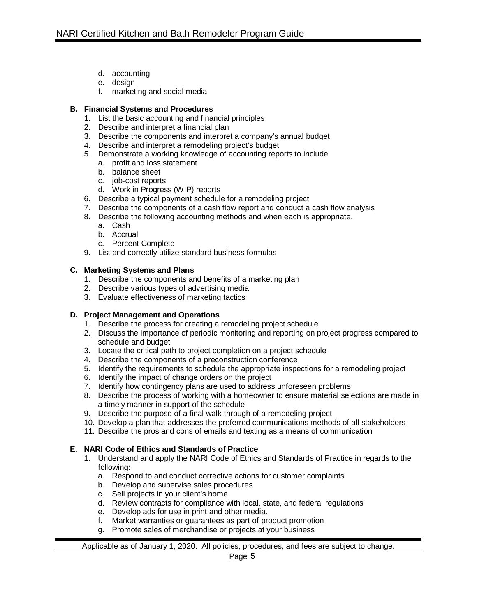- d. accounting
- e. design
- f. marketing and social media

# **B. Financial Systems and Procedures**

- 1. List the basic accounting and financial principles
- 2. Describe and interpret a financial plan
- 3. Describe the components and interpret a company's annual budget
- 4. Describe and interpret a remodeling project's budget
- 5. Demonstrate a working knowledge of accounting reports to include
	- a. profit and loss statement
	- b. balance sheet
	- c. job-cost reports
	- d. Work in Progress (WIP) reports
- 6. Describe a typical payment schedule for a remodeling project
- 7. Describe the components of a cash flow report and conduct a cash flow analysis
- 8. Describe the following accounting methods and when each is appropriate.
	- a. Cash
	- b. Accrual
	- c. Percent Complete
- 9. List and correctly utilize standard business formulas

# **C. Marketing Systems and Plans**

- 1. Describe the components and benefits of a marketing plan
- 2. Describe various types of advertising media
- 3. Evaluate effectiveness of marketing tactics

# **D. Project Management and Operations**

- 1. Describe the process for creating a remodeling project schedule
- 2. Discuss the importance of periodic monitoring and reporting on project progress compared to schedule and budget
- 3. Locate the critical path to project completion on a project schedule
- 4. Describe the components of a preconstruction conference
- 5. Identify the requirements to schedule the appropriate inspections for a remodeling project
- 6. Identify the impact of change orders on the project
- 7. Identify how contingency plans are used to address unforeseen problems
- 8. Describe the process of working with a homeowner to ensure material selections are made in a timely manner in support of the schedule
- 9. Describe the purpose of a final walk-through of a remodeling project
- 10. Develop a plan that addresses the preferred communications methods of all stakeholders
- 11. Describe the pros and cons of emails and texting as a means of communication

# **E. NARI Code of Ethics and Standards of Practice**

- 1. Understand and apply the NARI Code of Ethics and Standards of Practice in regards to the following:
	- a. Respond to and conduct corrective actions for customer complaints
	- b. Develop and supervise sales procedures
	- c. Sell projects in your client's home
	- d. Review contracts for compliance with local, state, and federal regulations
	- e. Develop ads for use in print and other media.
	- f. Market warranties or guarantees as part of product promotion
	- g. Promote sales of merchandise or projects at your business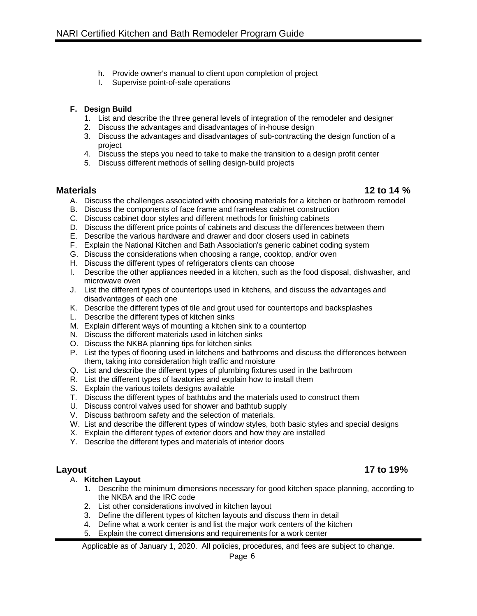- h. Provide owner's manual to client upon completion of project
- I. Supervise point-of-sale operations

# **F. Design Build**

- 1. List and describe the three general levels of integration of the remodeler and designer
- 2. Discuss the advantages and disadvantages of in-house design
- 3. Discuss the advantages and disadvantages of sub-contracting the design function of a project
- 4. Discuss the steps you need to take to make the transition to a design profit center
- 5. Discuss different methods of selling design-build projects

- **Materials 12 to 14 %** A. Discuss the challenges associated with choosing materials for a kitchen or bathroom remodel
	- B. Discuss the components of face frame and frameless cabinet construction
	- C. Discuss cabinet door styles and different methods for finishing cabinets
	- D. Discuss the different price points of cabinets and discuss the differences between them
	- E. Describe the various hardware and drawer and door closers used in cabinets
	- F. Explain the National Kitchen and Bath Association's generic cabinet coding system
	- G. Discuss the considerations when choosing a range, cooktop, and/or oven
	- H. Discuss the different types of refrigerators clients can choose
	- I. Describe the other appliances needed in a kitchen, such as the food disposal, dishwasher, and microwave oven
	- J. List the different types of countertops used in kitchens, and discuss the advantages and disadvantages of each one
	- K. Describe the different types of tile and grout used for countertops and backsplashes
	- L. Describe the different types of kitchen sinks
	- M. Explain different ways of mounting a kitchen sink to a countertop
	- N. Discuss the different materials used in kitchen sinks
	- O. Discuss the NKBA planning tips for kitchen sinks
	- P. List the types of flooring used in kitchens and bathrooms and discuss the differences between them, taking into consideration high traffic and moisture
	- Q. List and describe the different types of plumbing fixtures used in the bathroom
	- R. List the different types of lavatories and explain how to install them
	- S. Explain the various toilets designs available
	- T. Discuss the different types of bathtubs and the materials used to construct them
	- U. Discuss control valves used for shower and bathtub supply
	- V. Discuss bathroom safety and the selection of materials.
	- W. List and describe the different types of window styles, both basic styles and special designs
	- X. Explain the different types of exterior doors and how they are installed
	- Y. Describe the different types and materials of interior doors

# A. **Kitchen Layout**

- 1. Describe the minimum dimensions necessary for good kitchen space planning, according to the NKBA and the IRC code
- 2. List other considerations involved in kitchen layout
- 3. Define the different types of kitchen layouts and discuss them in detail
- 4. Define what a work center is and list the major work centers of the kitchen
- 5. Explain the correct dimensions and requirements for a work center

Applicable as of January 1, 2020. All policies, procedures, and fees are subject to change.

# **Layout 17 to 19%**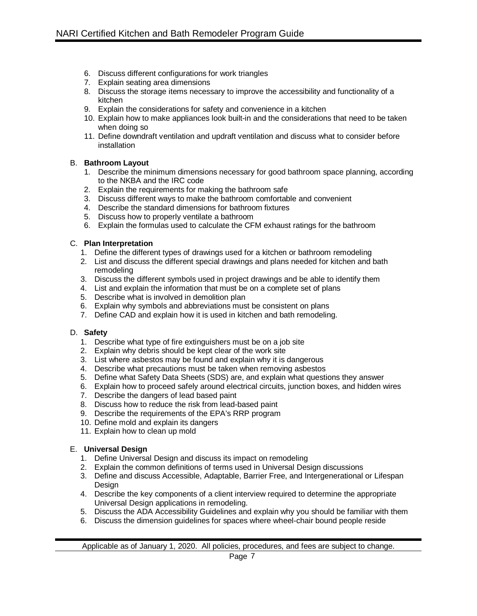- 6. Discuss different configurations for work triangles
- 7. Explain seating area dimensions
- 8. Discuss the storage items necessary to improve the accessibility and functionality of a kitchen
- 9. Explain the considerations for safety and convenience in a kitchen
- 10. Explain how to make appliances look built-in and the considerations that need to be taken when doing so
- 11. Define downdraft ventilation and updraft ventilation and discuss what to consider before installation

# B. **Bathroom Layout**

- 1. Describe the minimum dimensions necessary for good bathroom space planning, according to the NKBA and the IRC code
- 2. Explain the requirements for making the bathroom safe
- 3. Discuss different ways to make the bathroom comfortable and convenient
- 4. Describe the standard dimensions for bathroom fixtures
- 5. Discuss how to properly ventilate a bathroom
- 6. Explain the formulas used to calculate the CFM exhaust ratings for the bathroom

# C. **Plan Interpretation**

- 1. Define the different types of drawings used for a kitchen or bathroom remodeling
- 2. List and discuss the different special drawings and plans needed for kitchen and bath remodeling
- 3. Discuss the different symbols used in project drawings and be able to identify them
- 4. List and explain the information that must be on a complete set of plans
- 5. Describe what is involved in demolition plan
- 6. Explain why symbols and abbreviations must be consistent on plans
- 7. Define CAD and explain how it is used in kitchen and bath remodeling.

# D. **Safety**

- 1. Describe what type of fire extinguishers must be on a job site
- 2. Explain why debris should be kept clear of the work site
- 3. List where asbestos may be found and explain why it is dangerous
- 4. Describe what precautions must be taken when removing asbestos
- 5. Define what Safety Data Sheets (SDS) are, and explain what questions they answer
- 6. Explain how to proceed safely around electrical circuits, junction boxes, and hidden wires
- 7. Describe the dangers of lead based paint
- 8. Discuss how to reduce the risk from lead-based paint
- 9. Describe the requirements of the EPA's RRP program
- 10. Define mold and explain its dangers
- 11. Explain how to clean up mold

# E. **Universal Design**

- 1. Define Universal Design and discuss its impact on remodeling
- 2. Explain the common definitions of terms used in Universal Design discussions
- 3. Define and discuss Accessible, Adaptable, Barrier Free, and Intergenerational or Lifespan **Design**
- 4. Describe the key components of a client interview required to determine the appropriate Universal Design applications in remodeling.
- 5. Discuss the ADA Accessibility Guidelines and explain why you should be familiar with them
- 6. Discuss the dimension guidelines for spaces where wheel-chair bound people reside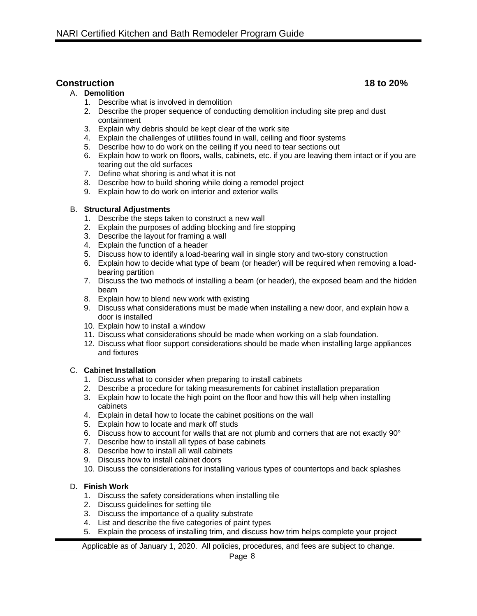# **Construction 18 to 20%**

# A. **Demolition**

- 1. Describe what is involved in demolition
- 2. Describe the proper sequence of conducting demolition including site prep and dust containment
- 3. Explain why debris should be kept clear of the work site
- 4. Explain the challenges of utilities found in wall, ceiling and floor systems
- 5. Describe how to do work on the ceiling if you need to tear sections out
- 6. Explain how to work on floors, walls, cabinets, etc. if you are leaving them intact or if you are tearing out the old surfaces
- 7. Define what shoring is and what it is not
- 8. Describe how to build shoring while doing a remodel project
- 9. Explain how to do work on interior and exterior walls

# B. **Structural Adjustments**

- 1. Describe the steps taken to construct a new wall
- 2. Explain the purposes of adding blocking and fire stopping
- 3. Describe the layout for framing a wall
- 4. Explain the function of a header
- 5. Discuss how to identify a load-bearing wall in single story and two-story construction
- 6. Explain how to decide what type of beam (or header) will be required when removing a loadbearing partition
- 7. Discuss the two methods of installing a beam (or header), the exposed beam and the hidden beam
- 8. Explain how to blend new work with existing
- 9. Discuss what considerations must be made when installing a new door, and explain how a door is installed
- 10. Explain how to install a window
- 11. Discuss what considerations should be made when working on a slab foundation.
- 12. Discuss what floor support considerations should be made when installing large appliances and fixtures

# C. **Cabinet Installation**

- 1. Discuss what to consider when preparing to install cabinets
- 2. Describe a procedure for taking measurements for cabinet installation preparation
- 3. Explain how to locate the high point on the floor and how this will help when installing cabinets
- 4. Explain in detail how to locate the cabinet positions on the wall
- 5. Explain how to locate and mark off studs
- 6. Discuss how to account for walls that are not plumb and corners that are not exactly 90°
- 7. Describe how to install all types of base cabinets
- 8. Describe how to install all wall cabinets
- 9. Discuss how to install cabinet doors
- 10. Discuss the considerations for installing various types of countertops and back splashes

# D. **Finish Work**

- 1. Discuss the safety considerations when installing tile
- 2. Discuss guidelines for setting tile
- 3. Discuss the importance of a quality substrate
- 4. List and describe the five categories of paint types
- 5. Explain the process of installing trim, and discuss how trim helps complete your project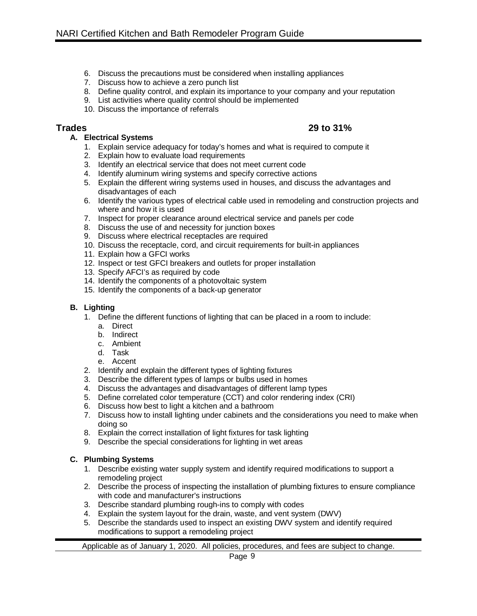- 6. Discuss the precautions must be considered when installing appliances
- 7. Discuss how to achieve a zero punch list
- 8. Define quality control, and explain its importance to your company and your reputation
- 9. List activities where quality control should be implemented
- 10. Discuss the importance of referrals

# **A. Electrical Systems**

- 1. Explain service adequacy for today's homes and what is required to compute it
- 2. Explain how to evaluate load requirements
- 3. Identify an electrical service that does not meet current code
- 4. Identify aluminum wiring systems and specify corrective actions
- 5. Explain the different wiring systems used in houses, and discuss the advantages and disadvantages of each
- 6. Identify the various types of electrical cable used in remodeling and construction projects and where and how it is used
- Fig. 2. Inspect for proper clearance around electrical service and panels per code
- 8. Discuss the use of and necessity for junction boxes
- 9. Discuss where electrical receptacles are required
- 10. Discuss the receptacle, cord, and circuit requirements for built-in appliances
- 11. Explain how a GFCI works
- 12. Inspect or test GFCI breakers and outlets for proper installation
- 13. Specify AFCI's as required by code
- 14. Identify the components of a photovoltaic system
- 15. Identify the components of a back-up generator

# **B. Lighting**

- 1. Define the different functions of lighting that can be placed in a room to include:
	- a. Direct
	- b. Indirect
	- c. Ambient
	- d. Task
	- e. Accent
- 2. Identify and explain the different types of lighting fixtures
- 3. Describe the different types of lamps or bulbs used in homes
- 4. Discuss the advantages and disadvantages of different lamp types
- 5. Define correlated color temperature (CCT) and color rendering index (CRI)
- 6. Discuss how best to light a kitchen and a bathroom
- 7. Discuss how to install lighting under cabinets and the considerations you need to make when doing so
- 8. Explain the correct installation of light fixtures for task lighting
- 9. Describe the special considerations for lighting in wet areas

# **C. Plumbing Systems**

- 1. Describe existing water supply system and identify required modifications to support a remodeling project
- 2. Describe the process of inspecting the installation of plumbing fixtures to ensure compliance with code and manufacturer's instructions
- 3. Describe standard plumbing rough-ins to comply with codes
- 4. Explain the system layout for the drain, waste, and vent system (DWV)
- 5. Describe the standards used to inspect an existing DWV system and identify required modifications to support a remodeling project

Applicable as of January 1, 2020. All policies, procedures, and fees are subject to change.

# **Trades 29 to 31%**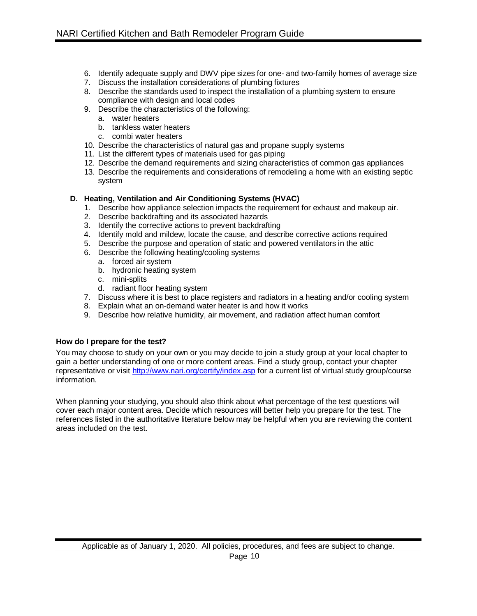- 6. Identify adequate supply and DWV pipe sizes for one- and two-family homes of average size
- 7. Discuss the installation considerations of plumbing fixtures
- 8. Describe the standards used to inspect the installation of a plumbing system to ensure compliance with design and local codes
- 9. Describe the characteristics of the following:
	- a. water heaters
	- b. tankless water heaters
	- c. combi water heaters
- 10. Describe the characteristics of natural gas and propane supply systems
- 11. List the different types of materials used for gas piping
- 12. Describe the demand requirements and sizing characteristics of common gas appliances
- 13. Describe the requirements and considerations of remodeling a home with an existing septic system

# **D. Heating, Ventilation and Air Conditioning Systems (HVAC)**

- 1. Describe how appliance selection impacts the requirement for exhaust and makeup air.
- 2. Describe backdrafting and its associated hazards
- 3. Identify the corrective actions to prevent backdrafting
- 4. Identify mold and mildew, locate the cause, and describe corrective actions required
- 5. Describe the purpose and operation of static and powered ventilators in the attic
- 6. Describe the following heating/cooling systems
	- a. forced air system
	- b. hydronic heating system
	- c. mini-splits
	- d. radiant floor heating system
- 7. Discuss where it is best to place registers and radiators in a heating and/or cooling system
- 8. Explain what an on-demand water heater is and how it works
- 9. Describe how relative humidity, air movement, and radiation affect human comfort

# **How do I prepare for the test?**

You may choose to study on your own or you may decide to join a study group at your local chapter to gain a better understanding of one or more content areas. Find a study group, contact your chapter representative or visit<http://www.nari.org/certify/index.asp> for a current list of virtual study group/course information.

When planning your studying, you should also think about what percentage of the test questions will cover each major content area. Decide which resources will better help you prepare for the test. The references listed in the authoritative literature below may be helpful when you are reviewing the content areas included on the test.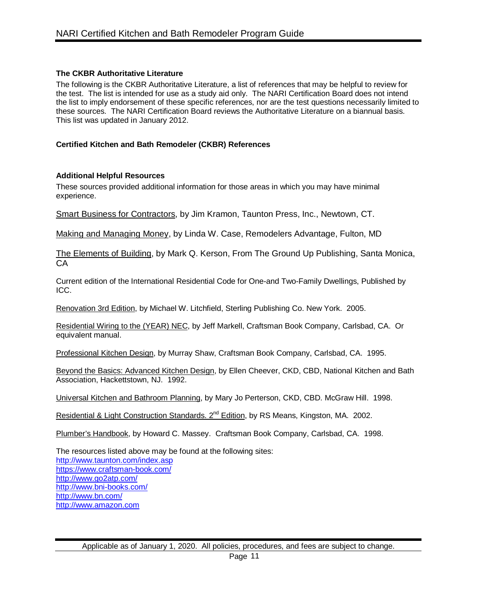# **The CKBR Authoritative Literature**

The following is the CKBR Authoritative Literature, a list of references that may be helpful to review for the test. The list is intended for use as a study aid only. The NARI Certification Board does not intend the list to imply endorsement of these specific references, nor are the test questions necessarily limited to these sources. The NARI Certification Board reviews the Authoritative Literature on a biannual basis. This list was updated in January 2012.

# **Certified Kitchen and Bath Remodeler (CKBR) References**

# **Additional Helpful Resources**

These sources provided additional information for those areas in which you may have minimal experience.

Smart Business for Contractors, by Jim Kramon, Taunton Press, Inc., Newtown, CT.

Making and Managing Money, by Linda W. Case, Remodelers Advantage, Fulton, MD

The Elements of Building, by Mark Q. Kerson, From The Ground Up Publishing, Santa Monica, CA

Current edition of the International Residential Code for One-and Two-Family Dwellings, Published by ICC.

Renovation 3rd Edition, by Michael W. Litchfield, Sterling Publishing Co. New York. 2005.

Residential Wiring to the (YEAR) NEC, by Jeff Markell, Craftsman Book Company, Carlsbad, CA. Or equivalent manual.

Professional Kitchen Design, by Murray Shaw, Craftsman Book Company, Carlsbad, CA. 1995.

Beyond the Basics: Advanced Kitchen Design, by Ellen Cheever, CKD, CBD, National Kitchen and Bath Association, Hackettstown, NJ. 1992.

Universal Kitchen and Bathroom Planning, by Mary Jo Perterson, CKD, CBD. McGraw Hill. 1998.

Residential & Light Construction Standards. 2<sup>nd</sup> Edition, by RS Means, Kingston, MA. 2002.

Plumber's Handbook, by Howard C. Massey. Craftsman Book Company, Carlsbad, CA. 1998.

The resources listed above may be found at the following sites: <http://www.taunton.com/index.asp> <https://www.craftsman-book.com/> <http://www.go2atp.com/> <http://www.bni-books.com/> <http://www.bn.com/> [http://www.amazon.com](http://www.amazon.com/)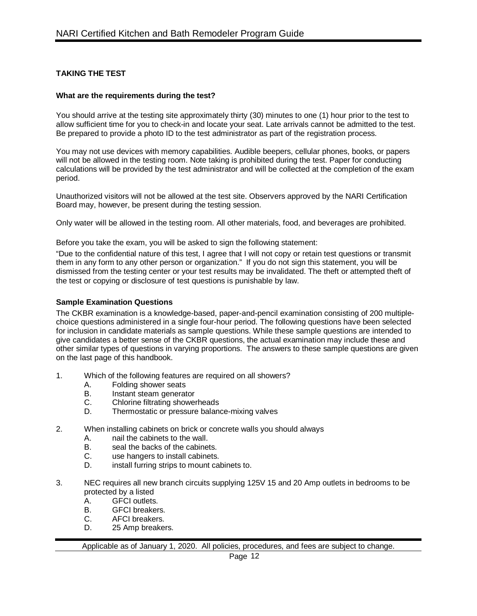# **TAKING THE TEST**

# **What are the requirements during the test?**

You should arrive at the testing site approximately thirty (30) minutes to one (1) hour prior to the test to allow sufficient time for you to check-in and locate your seat. Late arrivals cannot be admitted to the test. Be prepared to provide a photo ID to the test administrator as part of the registration process.

You may not use devices with memory capabilities. Audible beepers, cellular phones, books, or papers will not be allowed in the testing room. Note taking is prohibited during the test. Paper for conducting calculations will be provided by the test administrator and will be collected at the completion of the exam period.

Unauthorized visitors will not be allowed at the test site. Observers approved by the NARI Certification Board may, however, be present during the testing session.

Only water will be allowed in the testing room. All other materials, food, and beverages are prohibited.

Before you take the exam, you will be asked to sign the following statement:

"Due to the confidential nature of this test, I agree that I will not copy or retain test questions or transmit them in any form to any other person or organization." If you do not sign this statement, you will be dismissed from the testing center or your test results may be invalidated. The theft or attempted theft of the test or copying or disclosure of test questions is punishable by law.

# **Sample Examination Questions**

The CKBR examination is a knowledge-based, paper-and-pencil examination consisting of 200 multiplechoice questions administered in a single four-hour period. The following questions have been selected for inclusion in candidate materials as sample questions. While these sample questions are intended to give candidates a better sense of the CKBR questions, the actual examination may include these and other similar types of questions in varying proportions. The answers to these sample questions are given on the last page of this handbook.

- 1. Which of the following features are required on all showers?
	- A. Folding shower seats<br>B. Instant steam generat
	- B. Instant steam generator<br>C. Chlorine filtrating shower
	- Chlorine filtrating showerheads
	- D. Thermostatic or pressure balance-mixing valves
- 2. When installing cabinets on brick or concrete walls you should always
	- A. nail the cabinets to the wall.<br>B. seal the backs of the cabinet
	- seal the backs of the cabinets.
	- C. use hangers to install cabinets.
	- D. install furring strips to mount cabinets to.
- 3. NEC requires all new branch circuits supplying 125V 15 and 20 Amp outlets in bedrooms to be protected by a listed
	- A. GFCI outlets.
	- B. GFCI breakers.
	- C. AFCI breakers.
	- D. 25 Amp breakers.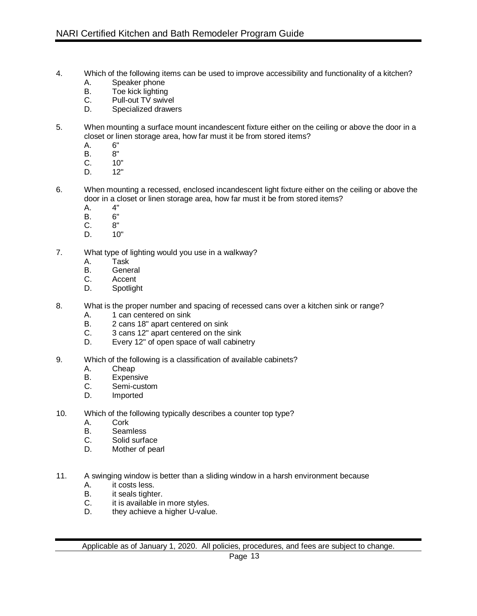- 4. Which of the following items can be used to improve accessibility and functionality of a kitchen?
	- A. Speaker phone<br>B. Toe kick lighting
	- Toe kick lighting
	- C. Pull-out TV swivel
	- D. Specialized drawers
- 5. When mounting a surface mount incandescent fixture either on the ceiling or above the door in a closet or linen storage area, how far must it be from stored items?<br>A. 6"
	- A. 6"<br>B. 8"
	- B.<br>C.
	- C. 10"<br>D. 12"
	- $12"$
- 6. When mounting a recessed, enclosed incandescent light fixture either on the ceiling or above the door in a closet or linen storage area, how far must it be from stored items?
	- A. 4"<br>B. 6"
	- B. 6"<br>C. 8"
	- $C<sub>r</sub>$
	- D. 10"
- 7. What type of lighting would you use in a walkway?
	- A. Task<br>B. Gene
	- B. General<br>C. Accent
	- Accent
	- D. Spotlight
- 8. What is the proper number and spacing of recessed cans over a kitchen sink or range?
	- A. 1 can centered on sink
	- B. 2 cans 18" apart centered on sink<br>C. 3 cans 12" apart centered on the s
	- C. 3 cans 12" apart centered on the sink<br>D. Every 12" of open space of wall cabine
	- Every 12" of open space of wall cabinetry
- 9. Which of the following is a classification of available cabinets?
	- A. Cheap<br>B. Expens
	- B. Expensive<br>C. Semi-custo
	- Semi-custom
	- D. Imported
- 10. Which of the following typically describes a counter top type?
	- A. Cork
	- B. Seamless<br>C. Solid surfa
	- C. Solid surface<br>D. Mother of pea
	- Mother of pearl
- 11. A swinging window is better than a sliding window in a harsh environment because
	- A. it costs less.<br>B. it seals tighten
	- it seals tighter.
	- C. it is available in more styles.
	- D. they achieve a higher U-value.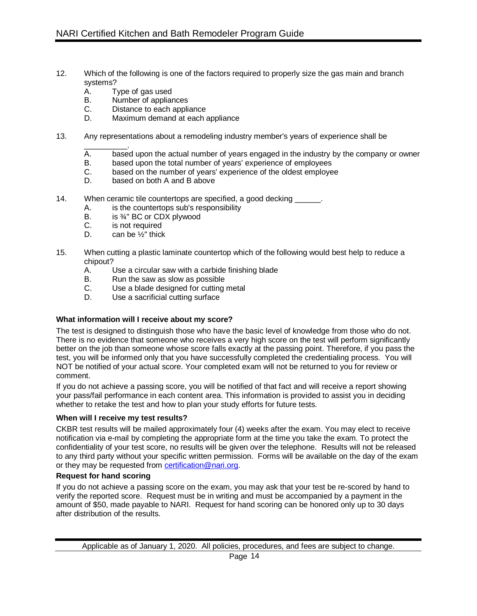- 12. Which of the following is one of the factors required to properly size the gas main and branch systems?<br>A. T
	- A. Type of gas used<br>B. Number of appliar
	- Number of appliances
	- C. Distance to each appliance<br>D. Maximum demand at each a
	- Maximum demand at each appliance
- 13. Any representations about a remodeling industry member's years of experience shall be
	- \_\_\_\_\_\_\_\_\_\_. A. based upon the actual number of years engaged in the industry by the company or owner<br>B. based upon the total number of years' experience of employees
	- B. based upon the total number of years' experience of employees<br>C. based on the number of years' experience of the oldest employe
	- based on the number of years' experience of the oldest employee
	- D. based on both A and B above
- 14. When ceramic tile countertops are specified, a good decking
	- A. is the countertops sub's responsibility
	- B. is <sup>3</sup>/<sub>4</sub>" BC or CDX plywood<br>C. is not required
	- is not required
	- D. can be  $\frac{1}{2}$ " thick
- 15. When cutting a plastic laminate countertop which of the following would best help to reduce a chipout?<br>A.
	- $A.$  Use a circular saw with a carbide finishing blade  $B.$  Run the saw as slow as possible
	- Run the saw as slow as possible
	- C. Use a blade designed for cutting metal
	- D. Use a sacrificial cutting surface

# **What information will I receive about my score?**

The test is designed to distinguish those who have the basic level of knowledge from those who do not. There is no evidence that someone who receives a very high score on the test will perform significantly better on the job than someone whose score falls exactly at the passing point. Therefore, if you pass the test, you will be informed only that you have successfully completed the credentialing process. You will NOT be notified of your actual score. Your completed exam will not be returned to you for review or comment.

If you do not achieve a passing score, you will be notified of that fact and will receive a report showing your pass/fail performance in each content area. This information is provided to assist you in deciding whether to retake the test and how to plan your study efforts for future tests.

# **When will I receive my test results?**

CKBR test results will be mailed approximately four (4) weeks after the exam. You may elect to receive notification via e-mail by completing the appropriate form at the time you take the exam. To protect the confidentiality of your test score, no results will be given over the telephone. Results will not be released to any third party without your specific written permission. Forms will be available on the day of the exam or they may be requested from certification@nari.org.

# **Request for hand scoring**

If you do not achieve a passing score on the exam, you may ask that your test be re-scored by hand to verify the reported score. Request must be in writing and must be accompanied by a payment in the amount of \$50, made payable to NARI. Request for hand scoring can be honored only up to 30 days after distribution of the results.